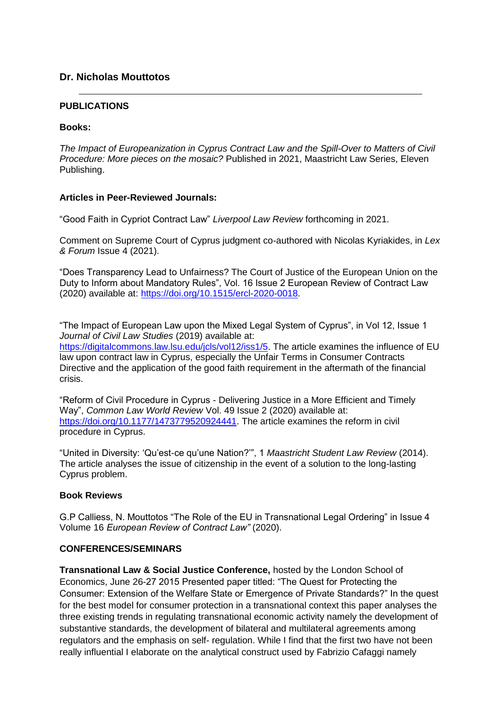### **Dr. Nicholas Mouttotos**

#### **PUBLICATIONS**

#### **Books:**

*The Impact of Europeanization in Cyprus Contract Law and the Spill-Over to Matters of Civil Procedure: More pieces on the mosaic?* Published in 2021, Maastricht Law Series, Eleven Publishing.

### **Articles in Peer-Reviewed Journals:**

"Good Faith in Cypriot Contract Law" *Liverpool Law Review* forthcoming in 2021.

Comment on Supreme Court of Cyprus judgment co-authored with Nicolas Kyriakides, in *Lex & Forum* Issue 4 (2021).

"Does Transparency Lead to Unfairness? The Court of Justice of the European Union on the Duty to Inform about Mandatory Rules", Vol. 16 Issue 2 European Review of Contract Law (2020) available at: [https://doi.org/10.1515/ercl-2020-0018.](https://doi.org/10.1515/ercl-2020-0018)

"The Impact of European Law upon the Mixed Legal System of Cyprus", in Vol 12, Issue 1 *Journal of Civil Law Studies* (2019) available at: [https://digitalcommons.law.lsu.edu/jcls/vol12/iss1/5.](https://digitalcommons.law.lsu.edu/jcls/vol12/iss1/5) The article examines the influence of EU law upon contract law in Cyprus, especially the Unfair Terms in Consumer Contracts Directive and the application of the good faith requirement in the aftermath of the financial crisis.

"Reform of Civil Procedure in Cyprus - Delivering Justice in a More Efficient and Timely Way", *Common Law World Review* Vol. 49 Issue 2 (2020) available at: [https://doi.org/10.1177/1473779520924441. T](https://doi.org/10.1177/1473779520924441)he article examines the reform in civil procedure in Cyprus.

"United in Diversity: 'Qu'est-ce qu'une Nation?'", 1 *Maastricht Student Law Review* (2014). The article analyses the issue of citizenship in the event of a solution to the long-lasting Cyprus problem.

### **Book Reviews**

G.P Calliess, N. Mouttotos "The Role of the EU in Transnational Legal Ordering" in Issue 4 Volume 16 *European Review of Contract Law"* (2020).

### **CONFERENCES/SEMINARS**

**Transnational Law & Social Justice Conference,** hosted by the London School of Economics, June 26-27 2015 Presented paper titled: "The Quest for Protecting the Consumer: Extension of the Welfare State or Emergence of Private Standards?" In the quest for the best model for consumer protection in a transnational context this paper analyses the three existing trends in regulating transnational economic activity namely the development of substantive standards, the development of bilateral and multilateral agreements among regulators and the emphasis on self- regulation. While I find that the first two have not been really influential I elaborate on the analytical construct used by Fabrizio Cafaggi namely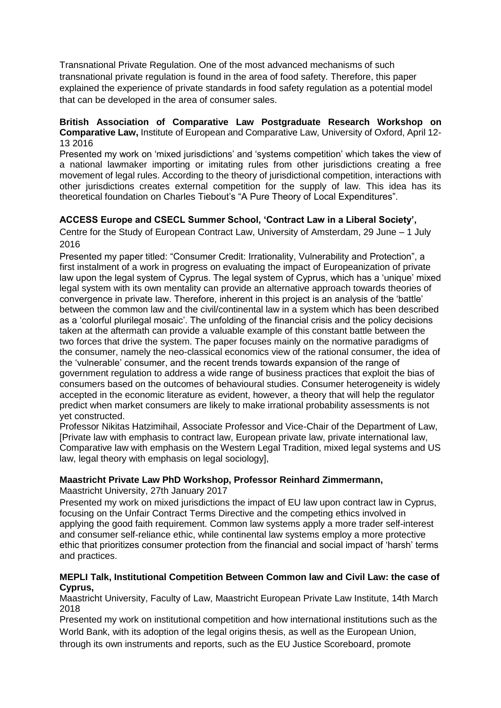Transnational Private Regulation. One of the most advanced mechanisms of such transnational private regulation is found in the area of food safety. Therefore, this paper explained the experience of private standards in food safety regulation as a potential model that can be developed in the area of consumer sales.

### **British Association of Comparative Law Postgraduate Research Workshop on Comparative Law,** Institute of European and Comparative Law, University of Oxford, April 12- 13 2016

Presented my work on 'mixed jurisdictions' and 'systems competition' which takes the view of a national lawmaker importing or imitating rules from other jurisdictions creating a free movement of legal rules. According to the theory of jurisdictional competition, interactions with other jurisdictions creates external competition for the supply of law. This idea has its theoretical foundation on Charles Tiebout's "A Pure Theory of Local Expenditures".

# **ACCESS Europe and CSECL Summer School, 'Contract Law in a Liberal Society',**

Centre for the Study of European Contract Law, University of Amsterdam, 29 June – 1 July 2016

Presented my paper titled: "Consumer Credit: Irrationality, Vulnerability and Protection", a first instalment of a work in progress on evaluating the impact of Europeanization of private law upon the legal system of Cyprus. The legal system of Cyprus, which has a 'unique' mixed legal system with its own mentality can provide an alternative approach towards theories of convergence in private law. Therefore, inherent in this project is an analysis of the 'battle' between the common law and the civil/continental law in a system which has been described as a 'colorful plurilegal mosaic'. The unfolding of the financial crisis and the policy decisions taken at the aftermath can provide a valuable example of this constant battle between the two forces that drive the system. The paper focuses mainly on the normative paradigms of the consumer, namely the neo-classical economics view of the rational consumer, the idea of the 'vulnerable' consumer, and the recent trends towards expansion of the range of government regulation to address a wide range of business practices that exploit the bias of consumers based on the outcomes of behavioural studies. Consumer heterogeneity is widely accepted in the economic literature as evident, however, a theory that will help the regulator predict when market consumers are likely to make irrational probability assessments is not yet constructed.

Professor Nikitas Hatzimihail, Associate Professor and Vice-Chair of the Department of Law, [Private law with emphasis to contract law, European private law, private international law, Comparative law with emphasis on the Western Legal Tradition, mixed legal systems and US law, legal theory with emphasis on legal sociology],

## **Maastricht Private Law PhD Workshop, Professor Reinhard Zimmermann,**

Maastricht University, 27th January 2017

Presented my work on mixed jurisdictions the impact of EU law upon contract law in Cyprus, focusing on the Unfair Contract Terms Directive and the competing ethics involved in applying the good faith requirement. Common law systems apply a more trader self-interest and consumer self-reliance ethic, while continental law systems employ a more protective ethic that prioritizes consumer protection from the financial and social impact of 'harsh' terms and practices.

### **MEPLI Talk, Institutional Competition Between Common law and Civil Law: the case of Cyprus,**

Maastricht University, Faculty of Law, Maastricht European Private Law Institute, 14th March 2018

Presented my work on institutional competition and how international institutions such as the World Bank, with its adoption of the legal origins thesis, as well as the European Union, through its own instruments and reports, such as the EU Justice Scoreboard, promote